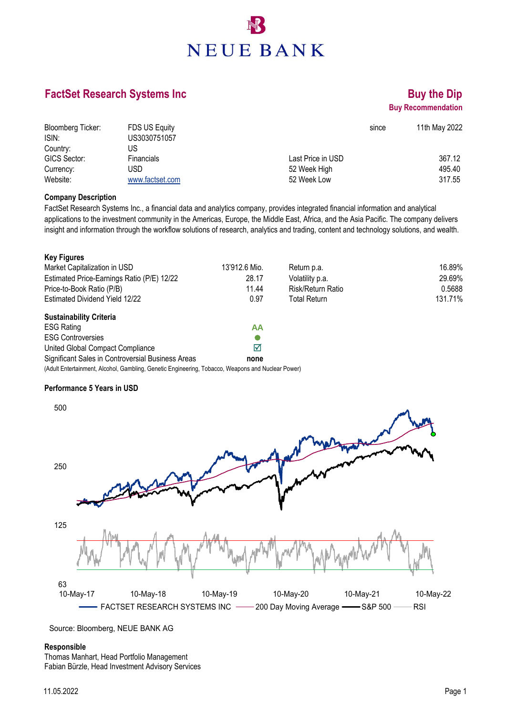# **NEUE BANK**

### **FactSet Research Systems Inc Buy the Dip Buy the Dip**

## **Buy Recommendation**

| Bloomberg Ticker: | FDS US Equity     | since             | 11th May 2022 |
|-------------------|-------------------|-------------------|---------------|
| ISIN:             | US3030751057      |                   |               |
| Country:          | US                |                   |               |
| GICS Sector:      | <b>Financials</b> | Last Price in USD | 367.12        |
| Currency:         | USD               | 52 Week High      | 495.40        |
| Website:          | www.factset.com   | 52 Week Low       | 317.55        |

#### **Company Description**

FactSet Research Systems Inc., a financial data and analytics company, provides integrated financial information and analytical applications to the investment community in the Americas, Europe, the Middle East, Africa, and the Asia Pacific. The company delivers insight and information through the workflow solutions of research, analytics and trading, content and technology solutions, and wealth.

| <b>Key Figures</b>                                                                                |               |                     |         |
|---------------------------------------------------------------------------------------------------|---------------|---------------------|---------|
| Market Capitalization in USD                                                                      | 13'912.6 Mio. | Return p.a.         | 16.89%  |
| Estimated Price-Earnings Ratio (P/E) 12/22                                                        | 28.17         | Volatility p.a.     | 29.69%  |
| Price-to-Book Ratio (P/B)                                                                         | 11.44         | Risk/Return Ratio   | 0.5688  |
| <b>Estimated Dividend Yield 12/22</b>                                                             | 0.97          | <b>Total Return</b> | 131.71% |
| <b>Sustainability Criteria</b>                                                                    |               |                     |         |
| <b>ESG Rating</b>                                                                                 | ΑА            |                     |         |
| <b>ESG Controversies</b>                                                                          |               |                     |         |
| United Global Compact Compliance                                                                  | ☑             |                     |         |
| Significant Sales in Controversial Business Areas                                                 | none          |                     |         |
| (Adult Entertainment, Alcohol, Gambling, Genetic Engineering, Tobacco, Weapons and Nuclear Power) |               |                     |         |

#### **Performance 5 Years in USD**



Source: Bloomberg, NEUE BANK AG

#### **Responsible**

Thomas Manhart, Head Portfolio Management Fabian Bürzle, Head Investment Advisory Services